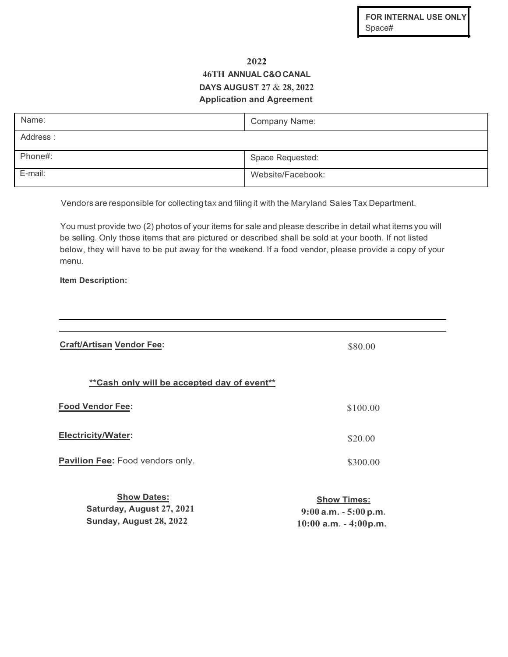## **2022 46TH ANNUAL C&OCANAL DAYS AUGUST 27** & **28, 2022 Application and Agreement**

| Name:    | Company Name:     |
|----------|-------------------|
| Address: |                   |
| Phone#:  | Space Requested:  |
| E-mail:  | Website/Facebook: |

Vendors are responsible for collectingtax and filing it with the Maryland Sales Tax Department.

You must provide two (2) photos of your items for sale and please describe in detail what items you will be selling. Only those items that are pictured or described shall be sold at your booth. If not listed below, they will have to be put away for the weekend. If a food vendor, please provide a copy of your menu.

**Item Description:**

**Sunday, August 28, 2022**

| <b>Craft/Artisan Vendor Fee:</b>                | \$80.00                                        |
|-------------------------------------------------|------------------------------------------------|
| ** Cash only will be accepted day of event**    |                                                |
| <b>Food Vendor Fee:</b>                         | \$100.00                                       |
| <b>Electricity/Water:</b>                       | \$20.00                                        |
| <b>Pavilion Fee:</b> Food vendors only.         | \$300.00                                       |
| <b>Show Dates:</b><br>Saturday, August 27, 2021 | <b>Show Times:</b><br>$9:00$ a.m. $-5:00$ p.m. |

**10:00 a.m.** - **4:00p.m.**